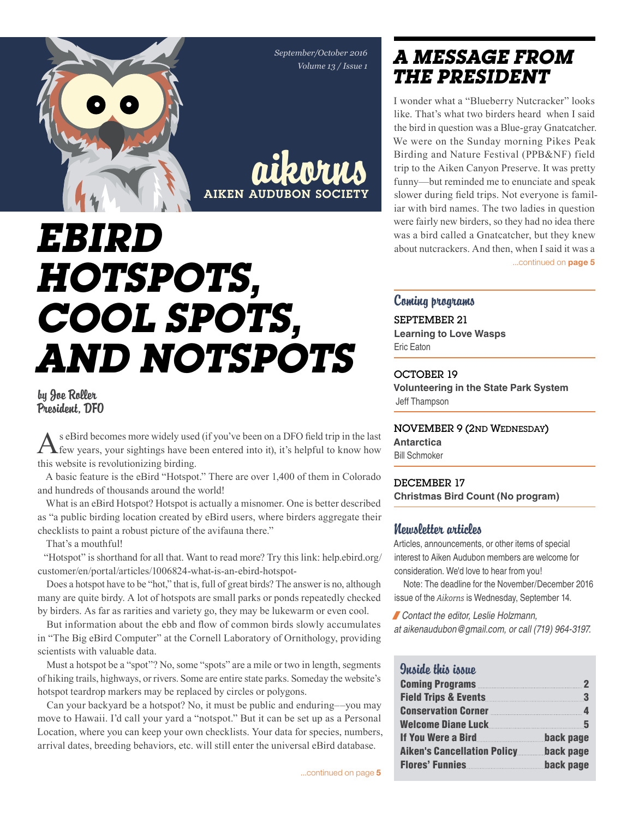*September/October 2016 Volume 13 / Issue 1*



aikorns Aiken Audubon Society

# *eBird Hotspots, cool spots, and notspots*

### by Joe Roller President, DFO

As eBird becomes more widely used (if you've been on a DFO field trip in the last few years, your sightings have been entered into it), it's helpful to know how this website is revolutionizing birding.

A basic feature is the eBird "Hotspot." There are over 1,400 of them in Colorado and hundreds of thousands around the world!

What is an eBird Hotspot? Hotspot is actually a misnomer. One is better described as "a public birding location created by eBird users, where birders aggregate their checklists to paint a robust picture of the avifauna there."

That's a mouthful!

"Hotspot" is shorthand for all that. Want to read more? Try this link: help.ebird.org/ customer/en/portal/articles/1006824-what-is-an-ebird-hotspot-

Does a hotspot have to be "hot," that is, full of great birds? The answer is no, although many are quite birdy. A lot of hotspots are small parks or ponds repeatedly checked by birders. As far as rarities and variety go, they may be lukewarm or even cool.

But information about the ebb and flow of common birds slowly accumulates in "The Big eBird Computer" at the Cornell Laboratory of Ornithology, providing scientists with valuable data.

Must a hotspot be a "spot"? No, some "spots" are a mile or two in length, segments of hiking trails, highways, or rivers. Some are entire state parks. Someday the website's hotspot teardrop markers may be replaced by circles or polygons.

Can your backyard be a hotspot? No, it must be public and enduring––you may move to Hawaii. I'd call your yard a "notspot." But it can be set up as a Personal Location, where you can keep your own checklists. Your data for species, numbers, arrival dates, breeding behaviors, etc. will still enter the universal eBird database.

### *a message from the president*

I wonder what a "Blueberry Nutcracker" looks like. That's what two birders heard when I said the bird in question was a Blue-gray Gnatcatcher. We were on the Sunday morning Pikes Peak Birding and Nature Festival (PPB&NF) field trip to the Aiken Canyon Preserve. It was pretty funny—but reminded me to enunciate and speak slower during field trips. Not everyone is familiar with bird names. The two ladies in question were fairly new birders, so they had no idea there was a bird called a Gnatcatcher, but they knew about nutcrackers. And then, when I said it was a ...continued on **page 5** 

### Coming programs

September 21 **Learning to Love Wasps** Eric Eaton

#### OCTOBER 19

**Volunteering in the State Park System** Jeff Thampson

### November 9 (2nd Wednesday)

**Antarctica**

Bill Schmoker

#### dECEMBER 17 **Christmas Bird Count (No program)**

### Newsletter articles

Articles, announcements, or other items of special interest to Aiken Audubon members are welcome for consideration. We'd love to hear from you!

Note: The deadline for the November/December 2016 issue of the *Aikorns* is Wednesday, September 14.

/*Contact the editor, Leslie Holzmann,* 

*at aikenaudubon@gmail.com, or call (719) 964-3197.*

#### Quaido this issuo

| <b>Coming Programs Community Community Community Community Community Community</b> | $\mathbf{2}$ |
|------------------------------------------------------------------------------------|--------------|
| <b>Field Trips &amp; Events.</b>                                                   | $\mathbf{3}$ |
| Conservation Corner 4                                                              |              |
| Welcome Diane Luck 5                                                               |              |
| If You Were a Bird                                                                 | back page    |
| <b>Aiken's Cancellation Policy</b>                                                 | back page    |
| <b>Flores' Funnies</b>                                                             | back page    |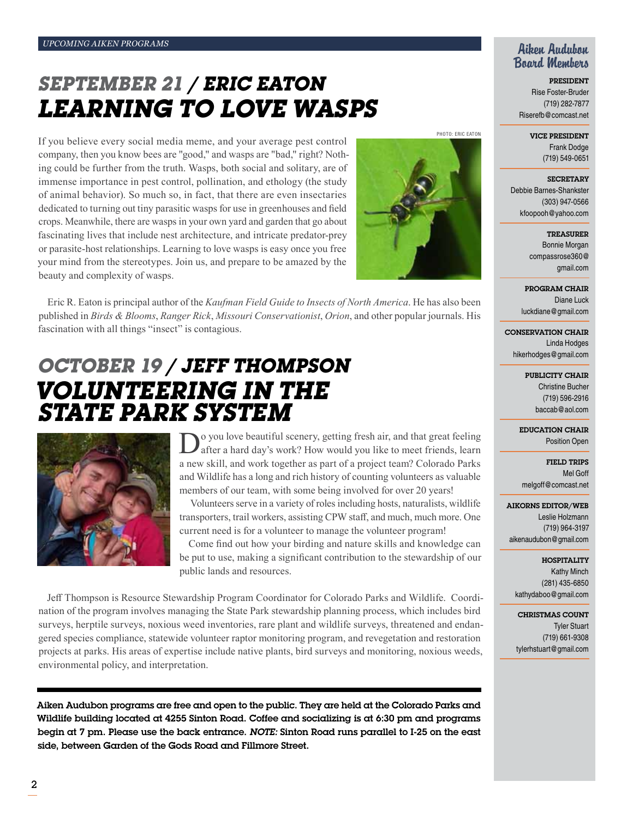## *September 21 / Eric Eaton Learning to love Wasps*

If you believe every social media meme, and your average pest control company, then you know bees are "good," and wasps are "bad," right? Nothing could be further from the truth. Wasps, both social and solitary, are of immense importance in pest control, pollination, and ethology (the study of animal behavior). So much so, in fact, that there are even insectaries dedicated to turning out tiny parasitic wasps for use in greenhouses and field crops. Meanwhile, there are wasps in your own yard and garden that go about fascinating lives that include nest architecture, and intricate predator-prey or parasite-host relationships. Learning to love wasps is easy once you free your mind from the stereotypes. Join us, and prepare to be amazed by the beauty and complexity of wasps.



PHOTO: ERIC EATON

Eric R. Eaton is principal author of the *Kaufman Field Guide to Insects of North America*. He has also been published in *Birds & Blooms*, *Ranger Rick*, *Missouri Conservationist*, *Orion*, and other popular journals. His fascination with all things "insect" is contagious.

### *October 19 / jeff Thompson volunteering in the state park system*



o you love beautiful scenery, getting fresh air, and that great feeling After a hard day's work? How would you like to meet friends, learn a new skill, and work together as part of a project team? Colorado Parks and Wildlife has a long and rich history of counting volunteers as valuable members of our team, with some being involved for over 20 years!

 Volunteers serve in a variety of roles including hosts, naturalists, wildlife transporters, trail workers, assisting CPW staff, and much, much more. One current need is for a volunteer to manage the volunteer program!

Come find out how your birding and nature skills and knowledge can be put to use, making a significant contribution to the stewardship of our public lands and resources.

Jeff Thompson is Resource Stewardship Program Coordinator for Colorado Parks and Wildlife. Coordination of the program involves managing the State Park stewardship planning process, which includes bird surveys, herptile surveys, noxious weed inventories, rare plant and wildlife surveys, threatened and endangered species compliance, statewide volunteer raptor monitoring program, and revegetation and restoration projects at parks. His areas of expertise include native plants, bird surveys and monitoring, noxious weeds, environmental policy, and interpretation.

Aiken Audubon programs are free and open to the public. They are held at the Colorado Parks and Wildlife building located at 4255 Sinton Road. Coffee and socializing is at 6:30 pm and programs begin at 7 pm. Please use the back entrance. *Note:* Sinton Road runs parallel to I-25 on the east side, between Garden of the Gods Road and Fillmore Street.

### Aiken Audubon Board Members

President Rise Foster-Bruder (719) 282-7877 Riserefb@comcast.net

> Vice President Frank Dodge (719) 549-0651

**SECRETARY** Debbie Barnes-Shankster (303) 947-0566 kfoopooh@yahoo.com

> Treasurer Bonnie Morgan compassrose360@ gmail.com

Program Chair Diane Luck luckdiane@gmail.com

Conservation Chair Linda Hodges hikerhodges@gmail.com

> PUBLICITY CHAIR Christine Bucher (719) 596-2916 baccab@aol.com

Education Chair Position Open

Field Trips Mel Goff melgoff@comcast.net

#### Aikorns Editor/Web

Leslie Holzmann (719) 964-3197 aikenaudubon@gmail.com

> **HOSPITALITY** Kathy Minch

(281) 435-6850 kathydaboo@gmail.com

CHRISTMAS COUNT Tyler Stuart (719) 661-9308 tylerhstuart@gmail.com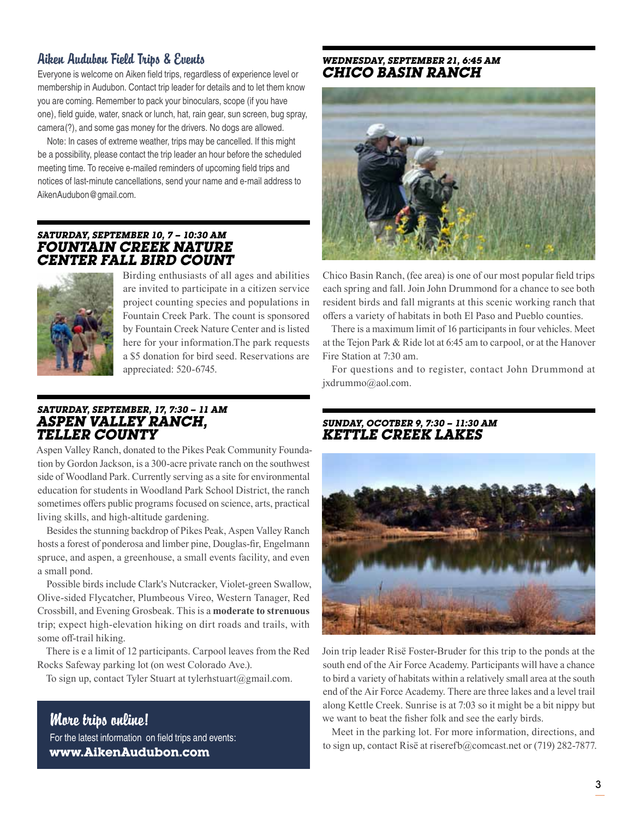### Aiken Audubon Field Trips & Events

Everyone is welcome on Aiken field trips, regardless of experience level or membership in Audubon. Contact trip leader for details and to let them know you are coming. Remember to pack your binoculars, scope (if you have one), field guide, water, snack or lunch, hat, rain gear, sun screen, bug spray, camera(?), and some gas money for the drivers. No dogs are allowed.

Note: In cases of extreme weather, trips may be cancelled. If this might be a possibility, please contact the trip leader an hour before the scheduled meeting time. To receive e-mailed reminders of upcoming field trips and notices of last-minute cancellations, send your name and e-mail address to AikenAudubon@gmail.com.

### *Saturday, September 10, 7 – 10:30 am Fountain Creek Nature Center Fall Bird Count*



Birding enthusiasts of all ages and abilities are invited to participate in a citizen service project counting species and populations in Fountain Creek Park. The count is sponsored by Fountain Creek Nature Center and is listed here for your information.The park requests a \$5 donation for bird seed. Reservations are appreciated: 520-6745.

### *Saturday, September, 17, 7:30 – 11 AM ASPEN VALLEY RANCH, Teller County*

Aspen Valley Ranch, donated to the Pikes Peak Community Foundation by Gordon Jackson, is a 300-acre private ranch on the southwest side of Woodland Park. Currently serving as a site for environmental education for students in Woodland Park School District, the ranch sometimes offers public programs focused on science, arts, practical living skills, and high-altitude gardening.

Besides the stunning backdrop of Pikes Peak, Aspen Valley Ranch hosts a forest of ponderosa and limber pine, Douglas-fir, Engelmann spruce, and aspen, a greenhouse, a small events facility, and even a small pond.

Possible birds include Clark's Nutcracker, Violet-green Swallow, Olive-sided Flycatcher, Plumbeous Vireo, Western Tanager, Red Crossbill, and Evening Grosbeak. This is a **moderate to strenuous**  trip; expect high-elevation hiking on dirt roads and trails, with some off-trail hiking.

There is e a limit of 12 participants. Carpool leaves from the Red Rocks Safeway parking lot (on west Colorado Ave.).

To sign up, contact Tyler Stuart at tylerhstuart@gmail.com.

More trips online! For the latest information on field trips and events: **www.AikenAudubon.com**

#### *Wednesday, September 21, 6:45 am Chico Basin Ranch*



Chico Basin Ranch, (fee area) is one of our most popular field trips each spring and fall. Join John Drummond for a chance to see both resident birds and fall migrants at this scenic working ranch that offers a variety of habitats in both El Paso and Pueblo counties.

There is a maximum limit of 16 participants in four vehicles. Meet at the Tejon Park & Ride lot at 6:45 am to carpool, or at the Hanover Fire Station at 7:30 am.

For questions and to register, contact John Drummond at jxdrummo@aol.com.

#### *Sunday, Ocotber 9, 7:30 – 11:30 am Kettle Creek Lakes*



Join trip leader Risë Foster-Bruder for this trip to the ponds at the south end of the Air Force Academy. Participants will have a chance to bird a variety of habitats within a relatively small area at the south end of the Air Force Academy. There are three lakes and a level trail along Kettle Creek. Sunrise is at 7:03 so it might be a bit nippy but we want to beat the fisher folk and see the early birds.

Meet in the parking lot. For more information, directions, and to sign up, contact Risë at riserefb@comcast.net or (719) 282-7877.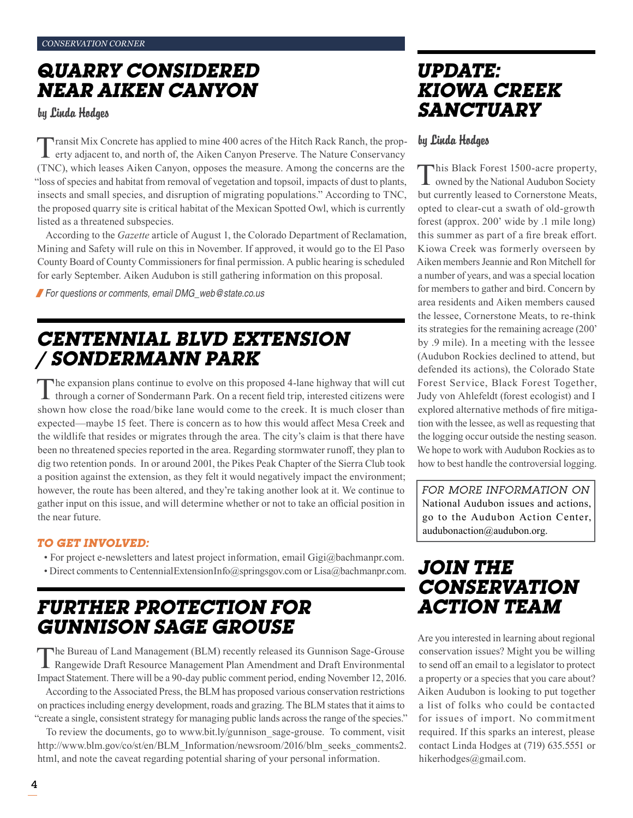### *Quarry Considered Near Aiken Canyon*

by Linda Hodges

Transit Mix Concrete has applied to mine 400 acres of the Hitch Rack Ranch, the property adjacent to, and north of, the Aiken Canyon Preserve. The Nature Conservancy (TNC), which leases Aiken Canyon, opposes the measure. Among the concerns are the "loss of species and habitat from removal of vegetation and topsoil, impacts of dust to plants, insects and small species, and disruption of migrating populations." According to TNC, the proposed quarry site is critical habitat of the Mexican Spotted Owl, which is currently listed as a threatened subspecies.

According to the *Gazette* article of August 1, the Colorado Department of Reclamation, Mining and Safety will rule on this in November. If approved, it would go to the El Paso County Board of County Commissioners for final permission. A public hearing is scheduled for early September. Aiken Audubon is still gathering information on this proposal.

/*For questions or comments, email DMG\_web@state.co.us*

### *Centennial Blvd Extension / Sondermann Park*

The expansion plans continue to evolve on this proposed 4-lane highway that will cut through a corner of Sondermann Park. On a recent field trip, interested citizens were shown how close the road/bike lane would come to the creek. It is much closer than expected—maybe 15 feet. There is concern as to how this would affect Mesa Creek and the wildlife that resides or migrates through the area. The city's claim is that there have been no threatened species reported in the area. Regarding stormwater runoff, they plan to dig two retention ponds. In or around 2001, the Pikes Peak Chapter of the Sierra Club took a position against the extension, as they felt it would negatively impact the environment; however, the route has been altered, and they're taking another look at it. We continue to gather input on this issue, and will determine whether or not to take an official position in the near future.

### *To get involved:*

- For project e-newsletters and latest project information, email Gigi@bachmanpr.com.
- Direct comments to CentennialExtensionInfo@springsgov.com or Lisa@bachmanpr.com.

### *Further Protection for Gunnison Sage Grouse*

The Bureau of Land Management (BLM) recently released its Gunnison Sage-Grouse Rangewide Draft Resource Management Plan Amendment and Draft Environmental Impact Statement. There will be a 90-day public comment period, ending November 12, 2016.

According to the Associated Press, the BLM has proposed various conservation restrictions on practices including energy development, roads and grazing. The BLM states that it aims to "create a single, consistent strategy for managing public lands across the range of the species."

To review the documents, go to www.bit.ly/gunnison\_sage-grouse. To comment, visit http://www.blm.gov/co/st/en/BLM\_Information/newsroom/2016/blm\_seeks\_comments2. html, and note the caveat regarding potential sharing of your personal information.

### *Update: Kiowa Creek Sanctuary*

### by Linda Hodges

This Black Forest 1500-acre property, owned by the National Audubon Society but currently leased to Cornerstone Meats, opted to clear-cut a swath of old-growth forest (approx. 200' wide by .1 mile long) this summer as part of a fire break effort. Kiowa Creek was formerly overseen by Aiken members Jeannie and Ron Mitchell for a number of years, and was a special location for members to gather and bird. Concern by area residents and Aiken members caused the lessee, Cornerstone Meats, to re-think its strategies for the remaining acreage (200' by .9 mile). In a meeting with the lessee (Audubon Rockies declined to attend, but defended its actions), the Colorado State Forest Service, Black Forest Together, Judy von Ahlefeldt (forest ecologist) and I explored alternative methods of fire mitigation with the lessee, as well as requesting that the logging occur outside the nesting season. We hope to work with Audubon Rockies as to how to best handle the controversial logging.

*For more information on*  National Audubon issues and actions, go to the Audubon Action Center, audubonaction@audubon.org.

### *Join the Conservation Action Team*

Are you interested in learning about regional conservation issues? Might you be willing to send off an email to a legislator to protect a property or a species that you care about? Aiken Audubon is looking to put together a list of folks who could be contacted for issues of import. No commitment required. If this sparks an interest, please contact Linda Hodges at (719) 635.5551 or hikerhodges@gmail.com.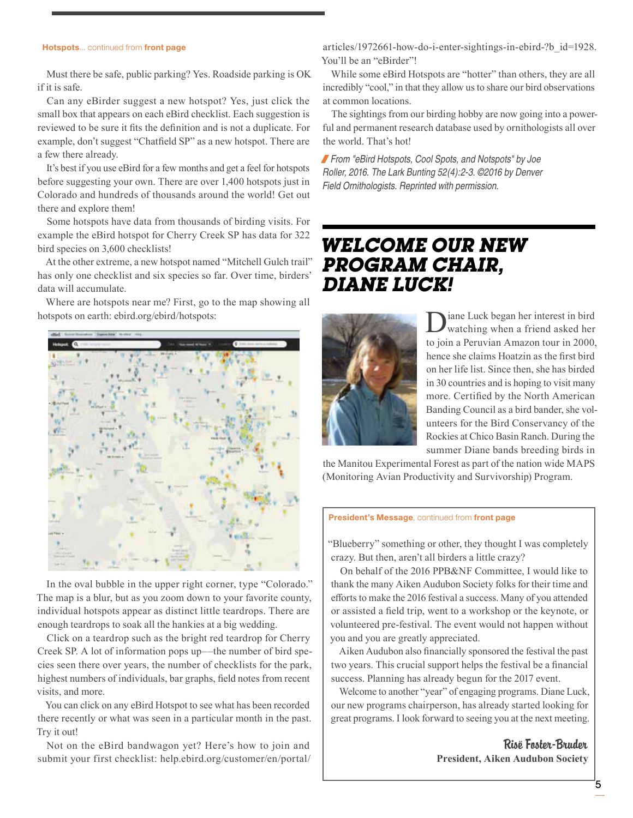#### Hotspots... continued from front page

Must there be safe, public parking? Yes. Roadside parking is OK if it is safe.

Can any eBirder suggest a new hotspot? Yes, just click the small box that appears on each eBird checklist. Each suggestion is reviewed to be sure it fits the definition and is not a duplicate. For example, don't suggest "Chatfield SP" as a new hotspot. There are a few there already.

It's best if you use eBird for a few months and get a feel for hotspots before suggesting your own. There are over 1,400 hotspots just in Colorado and hundreds of thousands around the world! Get out there and explore them!

Some hotspots have data from thousands of birding visits. For example the eBird hotspot for Cherry Creek SP has data for 322 bird species on 3,600 checklists!

At the other extreme, a new hotspot named "Mitchell Gulch trail" has only one checklist and six species so far. Over time, birders' data will accumulate.

Where are hotspots near me? First, go to the map showing all hotspots on earth: ebird.org/ebird/hotspots:



In the oval bubble in the upper right corner, type "Colorado." The map is a blur, but as you zoom down to your favorite county, individual hotspots appear as distinct little teardrops. There are enough teardrops to soak all the hankies at a big wedding.

Click on a teardrop such as the bright red teardrop for Cherry Creek SP. A lot of information pops up––the number of bird species seen there over years, the number of checklists for the park, highest numbers of individuals, bar graphs, field notes from recent visits, and more.

You can click on any eBird Hotspot to see what has been recorded there recently or what was seen in a particular month in the past. Try it out!

Not on the eBird bandwagon yet? Here's how to join and submit your first checklist: help.ebird.org/customer/en/portal/

articles/1972661-how-do-i-enter-sightings-in-ebird-?b\_id=1928. You'll be an "eBirder"!

While some eBird Hotspots are "hotter" than others, they are all incredibly "cool," in that they allow us to share our bird observations at common locations.

The sightings from our birding hobby are now going into a powerful and permanent research database used by ornithologists all over the world. That's hot!

/*From "eBird Hotspots, Cool Spots, and Notspots" by Joe Roller, 2016. The Lark Bunting 52(4):2-3. ©2016 by Denver Field Ornithologists. Reprinted with permission.*

### *Welcome our new Program Chair, Diane Luck!*



Diane Luck began her interest in bird watching when a friend asked her to join a Peruvian Amazon tour in 2000, hence she claims Hoatzin as the first bird on her life list. Since then, she has birded in 30 countries and is hoping to visit many more. Certified by the North American Banding Council as a bird bander, she volunteers for the Bird Conservancy of the Rockies at Chico Basin Ranch. During the summer Diane bands breeding birds in

the Manitou Experimental Forest as part of the nation wide MAPS (Monitoring Avian Productivity and Survivorship) Program.

#### President's Message, continued from front page

"Blueberry" something or other, they thought I was completely crazy. But then, aren't all birders a little crazy?

On behalf of the 2016 PPB&NF Committee, I would like to thank the many Aiken Audubon Society folks for their time and efforts to make the 2016 festival a success. Many of you attended or assisted a field trip, went to a workshop or the keynote, or volunteered pre-festival. The event would not happen without you and you are greatly appreciated.

Aiken Audubon also financially sponsored the festival the past two years. This crucial support helps the festival be a financial success. Planning has already begun for the 2017 event.

Welcome to another "year" of engaging programs. Diane Luck, our new programs chairperson, has already started looking for great programs. I look forward to seeing you at the next meeting.

> Risë Foster-Bruder **President, Aiken Audubon Society**